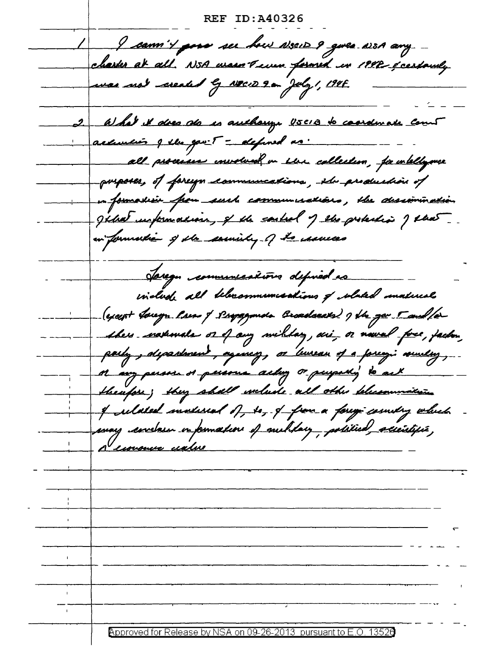**REF ID:A40326** I cann't pour ser hour assert 9 gives aven any charter at all. N5A was reven formed in 1992 & certainly was not created by NEW 9 on July 1, 1946. 2. What it does als is authorize USCIB to condinate count assurais q lles gav. 5 = defined as. all processo involved in the collection, for intelligence porposes, of foreign communications, the production of en formasker from surch communications, the designmention gihat unformation, of the couled of the probabin of that in formation of the sounity of the sames Jaregn communications defined as indude all belarommunications of whited material (except foregr laws of simpagements broadcasts) of the gav 5 and for --- thes carrowals or of any wilday, ari, or neval fore, factor, parly, department, againsy, or leureau of a forcegi number, theufor; they shall welude all other blessummiting in it selated sunlised of to, I from a forego country which puny envelour information of suchtay, political accessifié,<br>a cionaire cialise <u>Approved for Release by NSA on 09-26-2013 pursuant to E.O.</u>